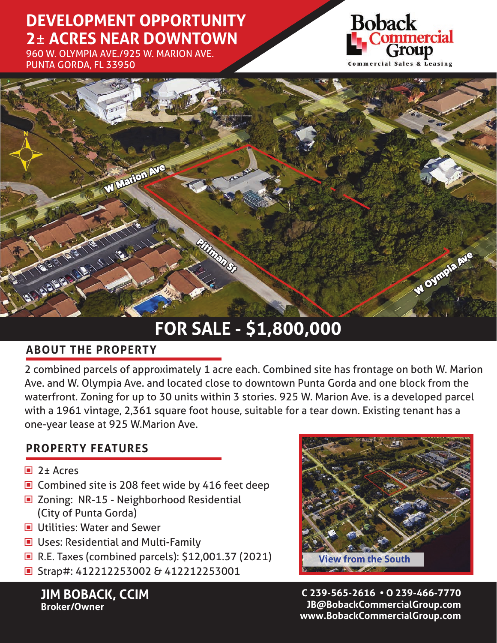## **DEVELOPMENT OPPORTUNITY 2**± **ACRES NEAR DOWNTOWN**

960 W. OLYMPIA AVE./925 W. MARION AVE. PUNTA GORDA, FL 33950





# **FOR SALE - \$1,800,000**

### **ABOUT THE PROPERTY**

2 combined parcels of approximately 1 acre each. Combined site has frontage on both W. Marion Ave. and W. Olympia Ave. and located close to downtown Punta Gorda and one block from the waterfront. Zoning for up to 30 units within 3 stories. 925 W. Marion Ave. is a developed parcel with a 1961 vintage, 2,361 square foot house, suitable for a tear down. Existing tenant has a one-year lease at 925 W.Marion Ave.

### **PROPERTY FEATURES**

- 2± Acres
- Combined site is 208 feet wide by 416 feet deep
- Zoning: NR-15 Neighborhood Residential (City of Punta Gorda)
- **Utilities: Water and Sewer**
- Uses: Residential and Multi-Family
- R.E. Taxes (combined parcels): \$12,001.37 (2021)
- Strap#: 412212253002 & 412212253001

**JIM BOBACK, CCIM Broker/Owner**



**C 239-565-2616 • O 239-466-7770 JB@BobackCommercialGroup.com www.BobackCommercialGroup.com**